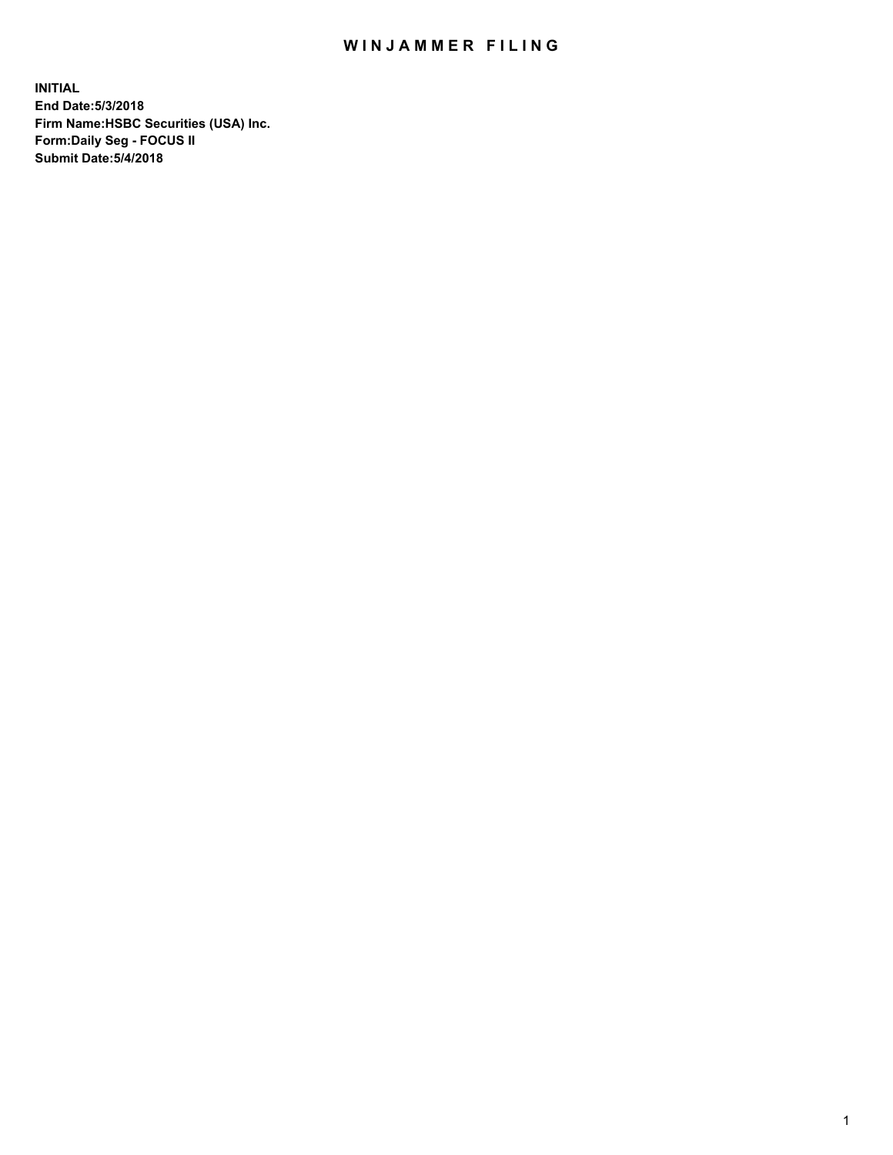## WIN JAMMER FILING

**INITIAL End Date:5/3/2018 Firm Name:HSBC Securities (USA) Inc. Form:Daily Seg - FOCUS II Submit Date:5/4/2018**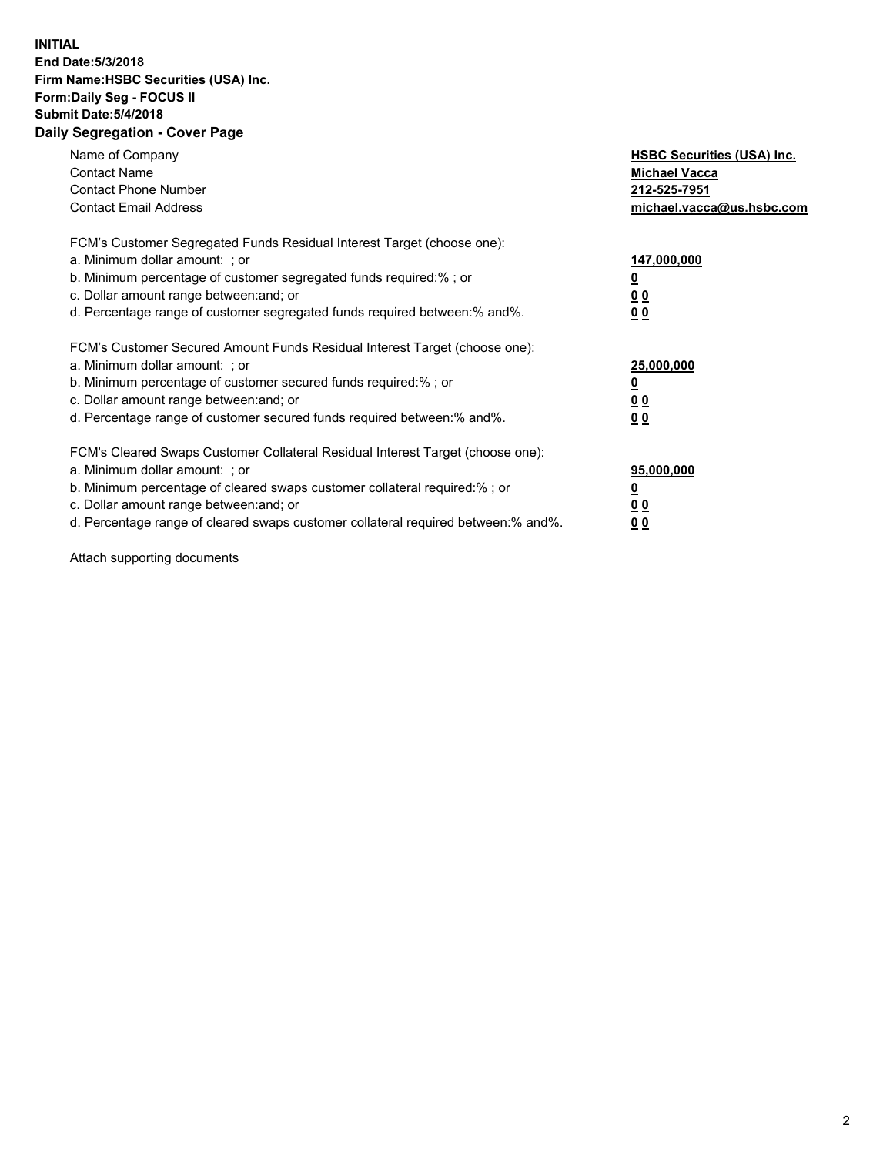## **INITIAL End Date:5/3/2018 Firm Name:HSBC Securities (USA) Inc. Form:Daily Seg - FOCUS II Submit Date:5/4/2018 Daily Segregation - Cover Page**

| Name of Company<br><b>Contact Name</b><br><b>Contact Phone Number</b><br><b>Contact Email Address</b>                                                                                                                                                                                                                          | <b>HSBC Securities (USA) Inc.</b><br><b>Michael Vacca</b><br>212-525-7951<br>michael.vacca@us.hsbc.com |
|--------------------------------------------------------------------------------------------------------------------------------------------------------------------------------------------------------------------------------------------------------------------------------------------------------------------------------|--------------------------------------------------------------------------------------------------------|
| FCM's Customer Segregated Funds Residual Interest Target (choose one):<br>a. Minimum dollar amount: ; or<br>b. Minimum percentage of customer segregated funds required:%; or<br>c. Dollar amount range between: and; or<br>d. Percentage range of customer segregated funds required between:% and%.                          | 147,000,000<br><u>0</u><br><u>00</u><br>00                                                             |
| FCM's Customer Secured Amount Funds Residual Interest Target (choose one):<br>a. Minimum dollar amount: ; or<br>b. Minimum percentage of customer secured funds required:%; or<br>c. Dollar amount range between: and; or<br>d. Percentage range of customer secured funds required between:% and%.                            | 25,000,000<br><u>0</u><br><u>00</u><br>00                                                              |
| FCM's Cleared Swaps Customer Collateral Residual Interest Target (choose one):<br>a. Minimum dollar amount: ; or<br>b. Minimum percentage of cleared swaps customer collateral required:% ; or<br>c. Dollar amount range between: and; or<br>d. Percentage range of cleared swaps customer collateral required between:% and%. | 95,000,000<br><u>0</u><br><u>00</u><br>0 <sub>0</sub>                                                  |

Attach supporting documents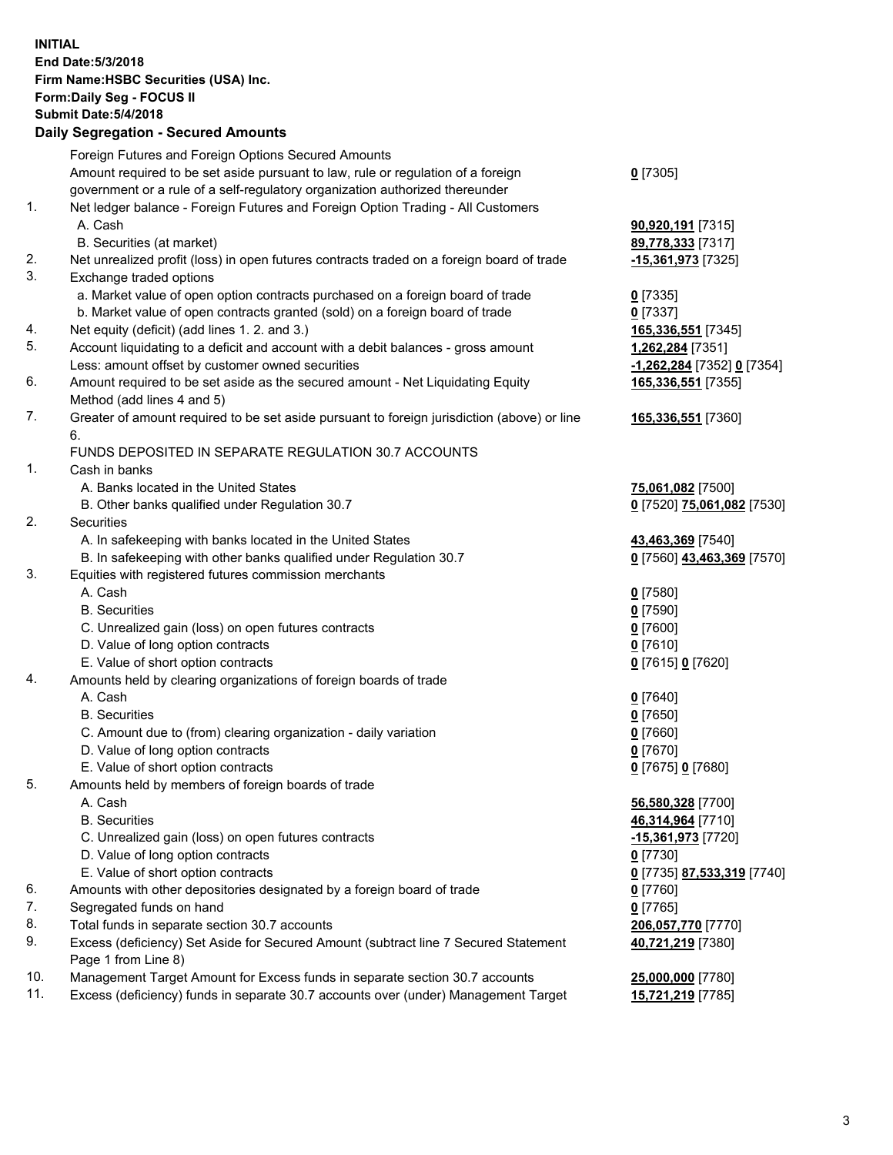**INITIAL End Date:5/3/2018 Firm Name:HSBC Securities (USA) Inc. Form:Daily Seg - FOCUS II Submit Date:5/4/2018 Daily Segregation - Secured Amounts** Foreign Futures and Foreign Options Secured Amounts Amount required to be set aside pursuant to law, rule or regulation of a foreign government or a rule of a self-regulatory organization authorized thereunder **0** [7305] 1. Net ledger balance - Foreign Futures and Foreign Option Trading - All Customers A. Cash **90,920,191** [7315] B. Securities (at market) **89,778,333** [7317] 2. Net unrealized profit (loss) in open futures contracts traded on a foreign board of trade **-15,361,973** [7325] 3. Exchange traded options a. Market value of open option contracts purchased on a foreign board of trade **0** [7335] b. Market value of open contracts granted (sold) on a foreign board of trade **0** [7337] 4. Net equity (deficit) (add lines 1. 2. and 3.) **165,336,551** [7345] 5. Account liquidating to a deficit and account with a debit balances - gross amount **1,262,284** [7351] Less: amount offset by customer owned securities **-1,262,284** [7352] **0** [7354] 6. Amount required to be set aside as the secured amount - Net Liquidating Equity Method (add lines 4 and 5) **165,336,551** [7355] 7. Greater of amount required to be set aside pursuant to foreign jurisdiction (above) or line 6. **165,336,551** [7360] FUNDS DEPOSITED IN SEPARATE REGULATION 30.7 ACCOUNTS 1. Cash in banks A. Banks located in the United States **75,061,082** [7500] B. Other banks qualified under Regulation 30.7 **0** [7520] **75,061,082** [7530] 2. Securities A. In safekeeping with banks located in the United States **43,463,369** [7540] B. In safekeeping with other banks qualified under Regulation 30.7 **0** [7560] **43,463,369** [7570] 3. Equities with registered futures commission merchants A. Cash **0** [7580] B. Securities **0** [7590] C. Unrealized gain (loss) on open futures contracts **0** [7600] D. Value of long option contracts **0** [7610] E. Value of short option contracts **0** [7615] **0** [7620] 4. Amounts held by clearing organizations of foreign boards of trade A. Cash **0** [7640] B. Securities **0** [7650] C. Amount due to (from) clearing organization - daily variation **0** [7660] D. Value of long option contracts **0** [7670] E. Value of short option contracts **0** [7675] **0** [7680] 5. Amounts held by members of foreign boards of trade A. Cash **56,580,328** [7700] B. Securities **46,314,964** [7710] C. Unrealized gain (loss) on open futures contracts **-15,361,973** [7720] D. Value of long option contracts **0** [7730] E. Value of short option contracts **0** [7735] **87,533,319** [7740] 6. Amounts with other depositories designated by a foreign board of trade **0** [7760] 7. Segregated funds on hand **0** [7765] 8. Total funds in separate section 30.7 accounts **206,057,770** [7770] 9. Excess (deficiency) Set Aside for Secured Amount (subtract line 7 Secured Statement Page 1 from Line 8) **40,721,219** [7380] 10. Management Target Amount for Excess funds in separate section 30.7 accounts **25,000,000** [7780] 11. Excess (deficiency) funds in separate 30.7 accounts over (under) Management Target **15,721,219** [7785]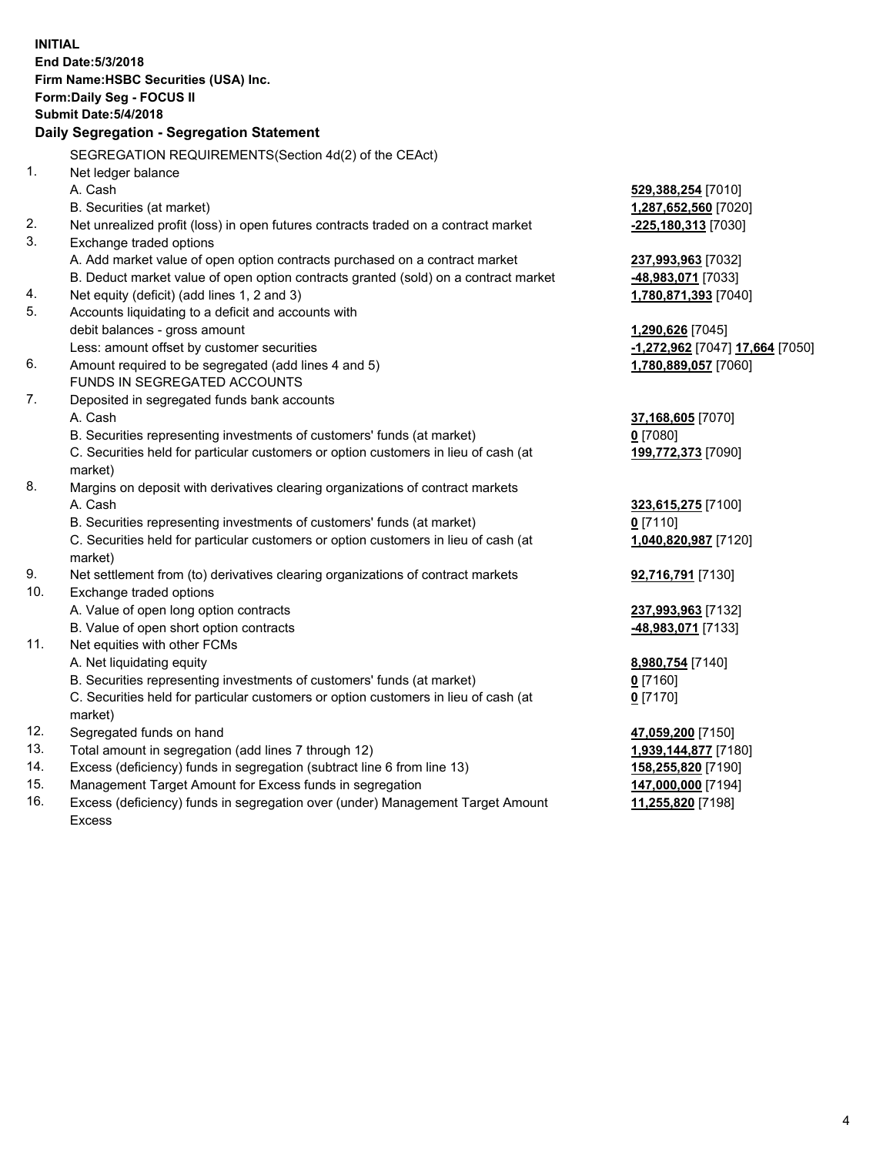| <b>INITIAL</b> | End Date: 5/3/2018<br>Firm Name: HSBC Securities (USA) Inc.<br>Form: Daily Seg - FOCUS II<br><b>Submit Date: 5/4/2018</b><br><b>Daily Segregation - Segregation Statement</b> |                                 |
|----------------|-------------------------------------------------------------------------------------------------------------------------------------------------------------------------------|---------------------------------|
|                | SEGREGATION REQUIREMENTS(Section 4d(2) of the CEAct)                                                                                                                          |                                 |
| 1.             | Net ledger balance                                                                                                                                                            |                                 |
|                | A. Cash                                                                                                                                                                       | 529,388,254 [7010]              |
|                | B. Securities (at market)                                                                                                                                                     | 1,287,652,560 [7020]            |
| 2.             | Net unrealized profit (loss) in open futures contracts traded on a contract market                                                                                            | -225,180,313 [7030]             |
| 3.             | Exchange traded options                                                                                                                                                       |                                 |
|                | A. Add market value of open option contracts purchased on a contract market                                                                                                   | 237,993,963 [7032]              |
|                | B. Deduct market value of open option contracts granted (sold) on a contract market                                                                                           | 48,983,071 [7033]               |
| 4.             | Net equity (deficit) (add lines 1, 2 and 3)                                                                                                                                   | 1,780,871,393 [7040]            |
| 5.             | Accounts liquidating to a deficit and accounts with                                                                                                                           |                                 |
|                | debit balances - gross amount                                                                                                                                                 | 1,290,626 [7045]                |
|                | Less: amount offset by customer securities                                                                                                                                    | -1,272,962 [7047] 17,664 [7050] |
| 6.             | Amount required to be segregated (add lines 4 and 5)                                                                                                                          | 1,780,889,057 [7060]            |
|                | FUNDS IN SEGREGATED ACCOUNTS                                                                                                                                                  |                                 |
| 7.             | Deposited in segregated funds bank accounts                                                                                                                                   |                                 |
|                | A. Cash                                                                                                                                                                       | 37,168,605 [7070]               |
|                | B. Securities representing investments of customers' funds (at market)                                                                                                        | $0$ [7080]                      |
|                | C. Securities held for particular customers or option customers in lieu of cash (at                                                                                           | 199,772,373 [7090]              |
|                | market)                                                                                                                                                                       |                                 |
| 8.             | Margins on deposit with derivatives clearing organizations of contract markets                                                                                                |                                 |
|                | A. Cash                                                                                                                                                                       | 323,615,275 [7100]              |
|                | B. Securities representing investments of customers' funds (at market)                                                                                                        | $0$ [7110]                      |
|                | C. Securities held for particular customers or option customers in lieu of cash (at<br>market)                                                                                | 1,040,820,987 [7120]            |
| 9.             | Net settlement from (to) derivatives clearing organizations of contract markets                                                                                               | 92,716,791 [7130]               |
| 10.            | Exchange traded options                                                                                                                                                       |                                 |
|                | A. Value of open long option contracts                                                                                                                                        | 237,993,963 [7132]              |
|                | B. Value of open short option contracts                                                                                                                                       | -48,983,071 [7133]              |
| 11.            | Net equities with other FCMs                                                                                                                                                  |                                 |
|                | A. Net liquidating equity                                                                                                                                                     | 8,980,754 [7140]                |
|                | B. Securities representing investments of customers' funds (at market)                                                                                                        | $0$ [7160]                      |
|                | C. Securities held for particular customers or option customers in lieu of cash (at<br>market)                                                                                | $0$ [7170]                      |
| 12.            | Segregated funds on hand                                                                                                                                                      | 47,059,200 [7150]               |
| 13.            | Total amount in segregation (add lines 7 through 12)                                                                                                                          | 1,939,144,877 [7180]            |
| 14.            | Excess (deficiency) funds in segregation (subtract line 6 from line 13)                                                                                                       | 158,255,820 [7190]              |
| 15.            | Management Target Amount for Excess funds in segregation                                                                                                                      | 147,000,000 [7194]              |
| 16.            | Excess (deficiency) funds in segregation over (under) Management Target Amount                                                                                                | 11,255,820 [7198]               |

16. Excess (deficiency) funds in segregation over (under) Management Target Amount Excess